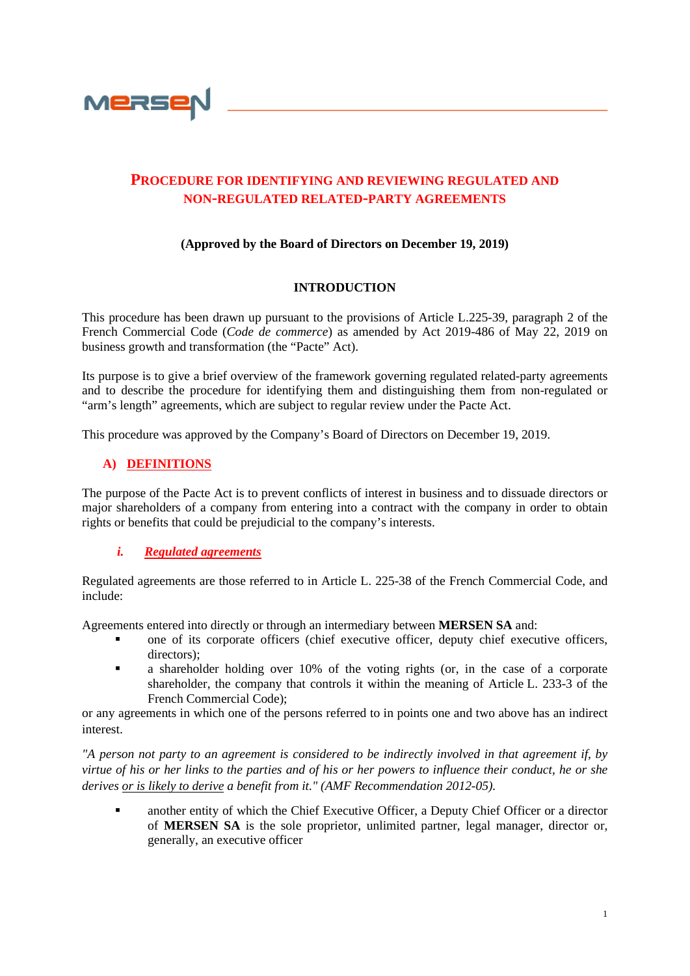

# **PROCEDURE FOR IDENTIFYING AND REVIEWING REGULATED AND NON-REGULATED RELATED-PARTY AGREEMENTS**

### **(Approved by the Board of Directors on December 19, 2019)**

### **INTRODUCTION**

This procedure has been drawn up pursuant to the provisions of Article L.225-39, paragraph 2 of the French Commercial Code (*Code de commerce*) as amended by Act 2019-486 of May 22, 2019 on business growth and transformation (the "Pacte" Act).

Its purpose is to give a brief overview of the framework governing regulated related-party agreements and to describe the procedure for identifying them and distinguishing them from non-regulated or "arm's length" agreements, which are subject to regular review under the Pacte Act.

This procedure was approved by the Company's Board of Directors on December 19, 2019.

### **A) DEFINITIONS**

The purpose of the Pacte Act is to prevent conflicts of interest in business and to dissuade directors or major shareholders of a company from entering into a contract with the company in order to obtain rights or benefits that could be prejudicial to the company's interests.

#### *i. Regulated agreements*

Regulated agreements are those referred to in Article L. 225-38 of the French Commercial Code, and include:

Agreements entered into directly or through an intermediary between **MERSEN SA** and:

- one of its corporate officers (chief executive officer, deputy chief executive officers, directors);
- a shareholder holding over 10% of the voting rights (or, in the case of a corporate shareholder, the company that controls it within the meaning of Article [L. 233-3](https://www.legifrance.gouv.fr/affichCodeArticle.do?cidTexte=LEGITEXT000005634379&idArticle=LEGIARTI000006229187&dateTexte=&categorieLien=cid) of the French Commercial Code);

or any agreements in which one of the persons referred to in points one and two above has an indirect interest.

*"A person not party to an agreement is considered to be indirectly involved in that agreement if, by virtue of his or her links to the parties and of his or her powers to influence their conduct, he or she derives or is likely to derive a benefit from it." (AMF Recommendation 2012-05).*

 another entity of which the Chief Executive Officer, a Deputy Chief Officer or a director of **MERSEN SA** is the sole proprietor, unlimited partner, legal manager, director or, generally, an executive officer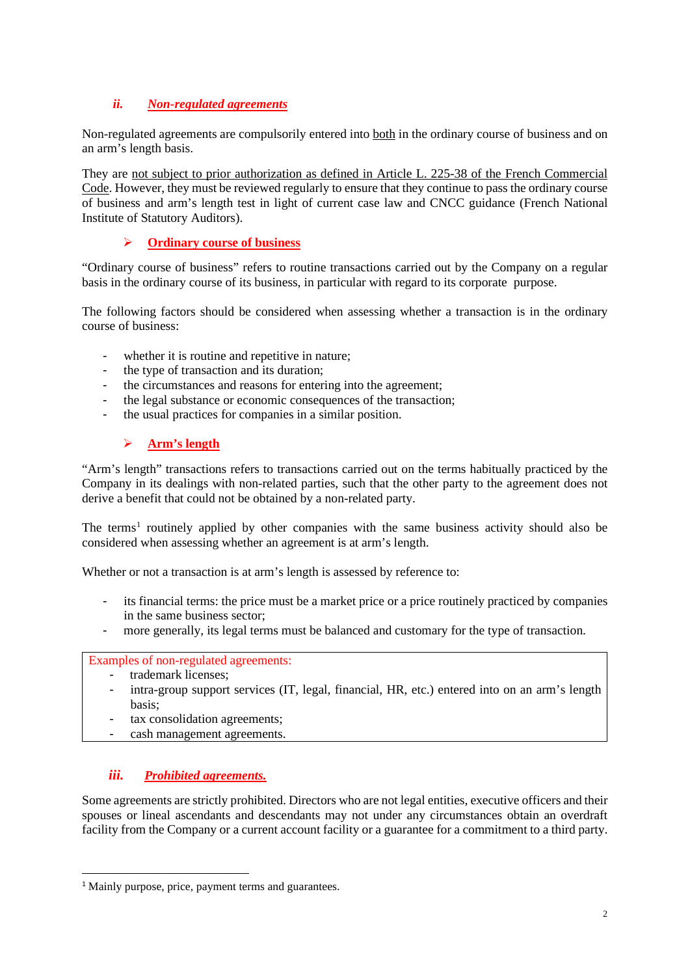## *ii. Non-regulated agreements*

Non-regulated agreements are compulsorily entered into both in the ordinary course of business and on an arm's length basis.

They are not subject to prior authorization as defined in Article L. 225-38 of the French Commercial Code. However, they must be reviewed regularly to ensure that they continue to pass the ordinary course of business and arm's length test in light of current case law and CNCC guidance (French National Institute of Statutory Auditors).

### **Ordinary course of business**

"Ordinary course of business" refers to routine transactions carried out by the Company on a regular basis in the ordinary course of its business, in particular with regard to its corporate purpose.

The following factors should be considered when assessing whether a transaction is in the ordinary course of business:

- whether it is routine and repetitive in nature;
- the type of transaction and its duration;
- the circumstances and reasons for entering into the agreement;
- the legal substance or economic consequences of the transaction;
- the usual practices for companies in a similar position.

### **Arm's length**

"Arm's length" transactions refers to transactions carried out on the terms habitually practiced by the Company in its dealings with non-related parties, such that the other party to the agreement does not derive a benefit that could not be obtained by a non-related party.

The terms<sup>[1](#page-1-0)</sup> routinely applied by other companies with the same business activity should also be considered when assessing whether an agreement is at arm's length.

Whether or not a transaction is at arm's length is assessed by reference to:

- its financial terms: the price must be a market price or a price routinely practiced by companies in the same business sector;
- more generally, its legal terms must be balanced and customary for the type of transaction.

#### Examples of non-regulated agreements:

- trademark licenses;
- intra-group support services (IT, legal, financial, HR, etc.) entered into on an arm's length basis;
- tax consolidation agreements:
- cash management agreements.

### *iii. Prohibited agreements.*

Some agreements are strictly prohibited. Directors who are not legal entities, executive officers and their spouses or lineal ascendants and descendants may not under any circumstances obtain an overdraft facility from the Company or a current account facility or a guarantee for a commitment to a third party.

<span id="page-1-0"></span><sup>&</sup>lt;sup>1</sup> Mainly purpose, price, payment terms and guarantees.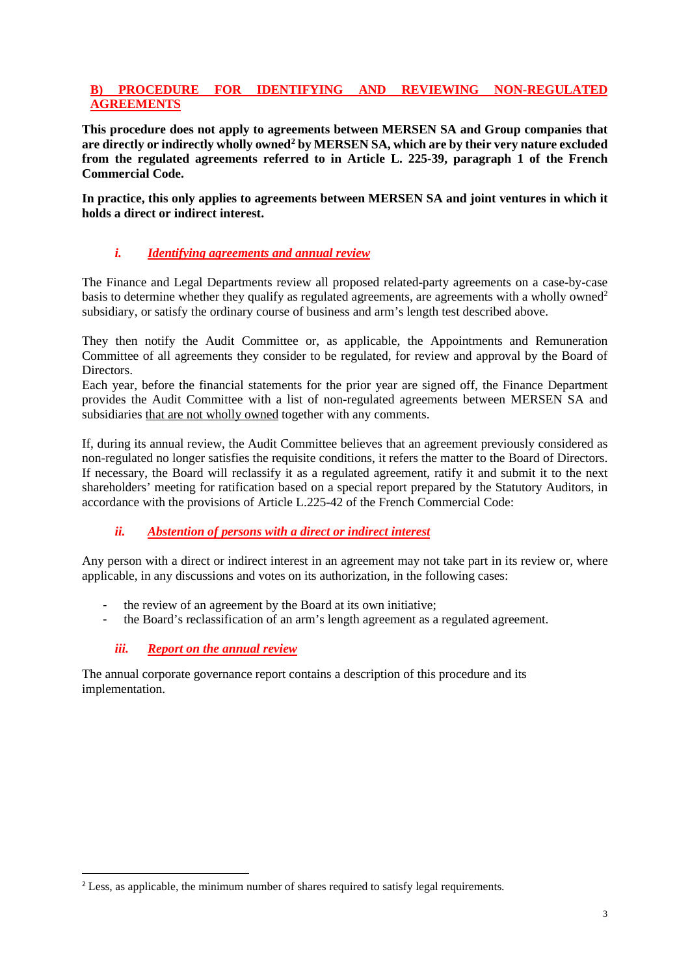### **B) PROCEDURE FOR IDENTIFYING AND REVIEWING NON-REGULATED AGREEMENTS**

**This procedure does not apply to agreements between MERSEN SA and Group companies that**  are directly or indirectly wholly owned<sup>2</sup> by MERSEN SA, which are by their very nature excluded **from the regulated agreements referred to in Article L. 225-39, paragraph 1 of the French Commercial Code.**

**In practice, this only applies to agreements between MERSEN SA and joint ventures in which it holds a direct or indirect interest.**

### *i. Identifying agreements and annual review*

The Finance and Legal Departments review all proposed related-party agreements on a case-by-case basis to determine whether they qualify as regulated agreements, are agreements with a wholly owned<sup>2</sup> subsidiary, or satisfy the ordinary course of business and arm's length test described above.

They then notify the Audit Committee or, as applicable, the Appointments and Remuneration Committee of all agreements they consider to be regulated, for review and approval by the Board of Directors.

Each year, before the financial statements for the prior year are signed off, the Finance Department provides the Audit Committee with a list of non-regulated agreements between MERSEN SA and subsidiaries that are not wholly owned together with any comments.

If, during its annual review, the Audit Committee believes that an agreement previously considered as non-regulated no longer satisfies the requisite conditions, it refers the matter to the Board of Directors. If necessary, the Board will reclassify it as a regulated agreement, ratify it and submit it to the next shareholders' meeting for ratification based on a special report prepared by the Statutory Auditors, in accordance with the provisions of Article L.225-42 of the French Commercial Code:

### *ii. Abstention of persons with a direct or indirect interest*

Any person with a direct or indirect interest in an agreement may not take part in its review or, where applicable, in any discussions and votes on its authorization, in the following cases:

- the review of an agreement by the Board at its own initiative;
- the Board's reclassification of an arm's length agreement as a regulated agreement.

### *iii. Report on the annual review*

The annual corporate governance report contains a description of this procedure and its implementation.

<span id="page-2-0"></span><sup>&</sup>lt;sup>2</sup> Less, as applicable, the minimum number of shares required to satisfy legal requirements.